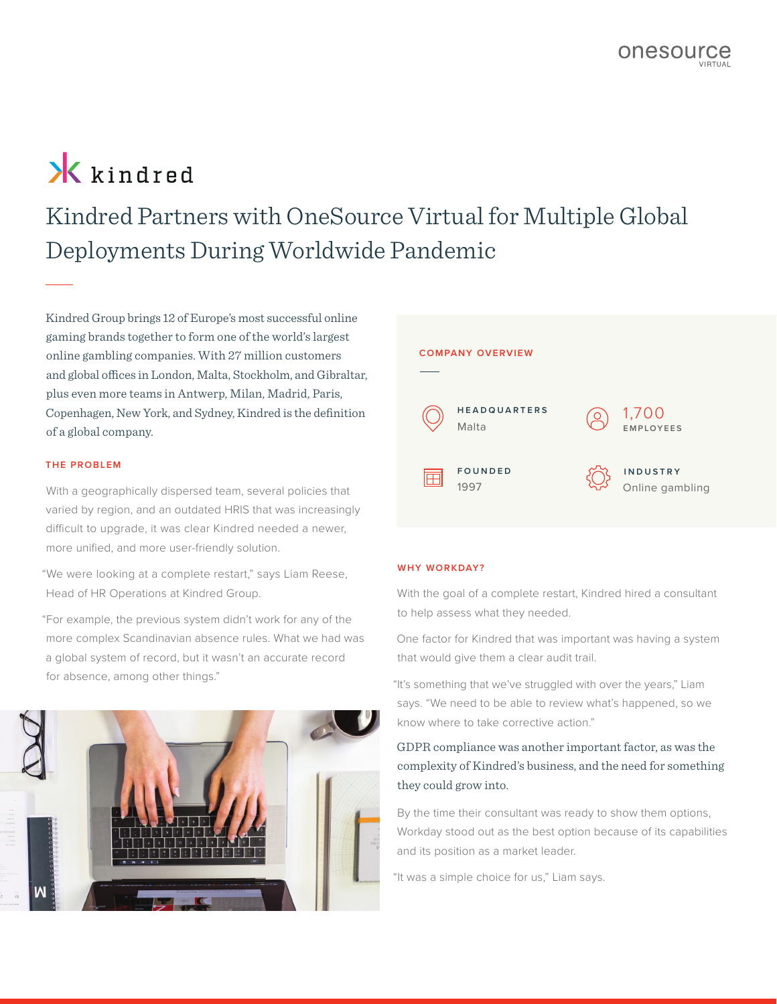# **X** kindred

Kindred Partners with OneSource Virtual for Multiple Global Deployments During Worldwide Pandemic

Kindred Group brings 12 of Europe's most successful online gaming brands together to form one of the world's largest online gambling companies. With 27 million customers and global offices in London, Malta, Stockholm, and Gibraltar, plus even more teams in Antwerp, Milan, Madrid, Paris, Copenhagen, New York, and Sydney, Kindred is the definition of a global company.

### **THE PROBLEM**

With a geographically dispersed team, several policies that varied by region, and an outdated HRIS that was increasingly difficult to upgrade, it was clear Kindred needed a newer, more unified, and more user-friendly solution.

"We were looking at a complete restart," says Liam Reese, Head of HR Operations at Kindred Group.

"For example, the previous system didn't work for any of the more complex Scandinavian absence rules. What we had was a global system of record, but it wasn't an accurate record for absence, among other things."





#### **WHY WORKDAY?**

With the goal of a complete restart, Kindred hired a consultant to help assess what they needed.

One factor for Kindred that was important was having a system that would give them a clear audit trail.

"It's something that we've struggled with over the years," Liam says. "We need to be able to review what's happened, so we know where to take corrective action."

# GDPR compliance was another important factor, as was the complexity of Kindred's business, and the need for something they could grow into.

By the time their consultant was ready to show them options, Workday stood out as the best option because of its capabilities and its position as a market leader.

"It was a simple choice for us," Liam says.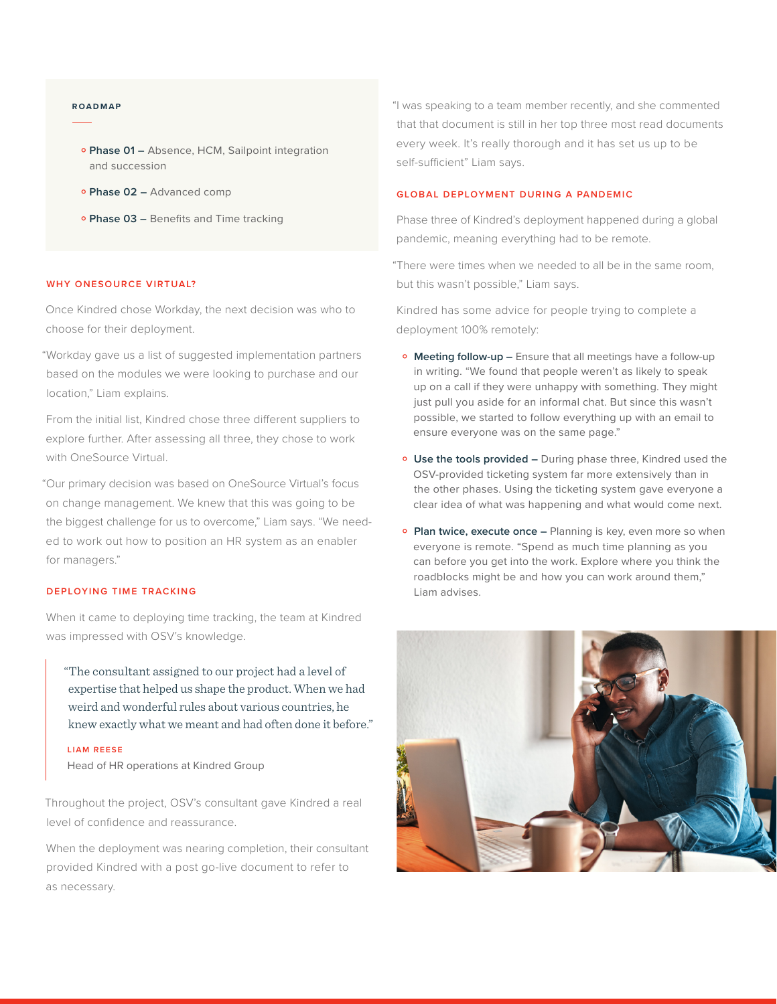#### **R OA D M A P**

- **Phase 01 –** Absence, HCM, Sailpoint integration<br>and succession and succession
- **Phase 02 –** Advanced comp<br>
- **Phase 03 –** Benefits and Time tracking<br>

#### **WHY ONESOURCE VIRTUAL?**

Once Kindred chose Workday, the next decision was who to choose for their deployment.

"Workday gave us a list of suggested implementation partners based on the modules we were looking to purchase and our location," Liam explains.

From the initial list, Kindred chose three different suppliers to explore further. After assessing all three, they chose to work with OneSource Virtual.

"Our primary decision was based on OneSource Virtual's focus on change management. We knew that this was going to be the biggest challenge for us to overcome," Liam says. "We needed to work out how to position an HR system as an enabler for managers."

#### **DEPLOYING TIME TRACKING**

When it came to deploying time tracking, the team at Kindred was impressed with OSV's knowledge.

"The consultant assigned to our project had a level of expertise that helped us shape the product. When we had weird and wonderful rules about various countries, he knew exactly what we meant and had often done it before."

#### **LIAM REESE**

Head of HR operations at Kindred Group

Throughout the project, OSV's consultant gave Kindred a real level of confidence and reassurance.

When the deployment was nearing completion, their consultant provided Kindred with a post go-live document to refer to as necessary.

"I was speaking to a team member recently, and she commented that that document is still in her top three most read documents every week. It's really thorough and it has set us up to be self-sufficient" Liam says.

#### **GLOBAL DEPLOYMENT DURING A PANDEMIC**

Phase three of Kindred's deployment happened during a global pandemic, meaning everything had to be remote.

"There were times when we needed to all be in the same room, but this wasn't possible," Liam says.

Kindred has some advice for people trying to complete a deployment 100% remotely:

- **Meeting follow-up –** Ensure that all meetings have a follow-up in writing. "We found that people weren't as likely to speak up on a call if they were unhappy with something. They might just pull you aside for an informal chat. But since this wasn't possible, we started to follow everything up with an email to ensure everyone was on the same page."
- **Use the tools provided –** During phase three, Kindred used the OSV-provided ticketing system far more extensively than in the other phases. Using the ticketing system gave everyone a clear idea of what was happening and what would come next.
- **Plan twice, execute once –** Planning is key, even more so when everyone is remote. "Spend as much time planning as you can before you get into the work. Explore where you think the roadblocks might be and how you can work around them," Liam advises.